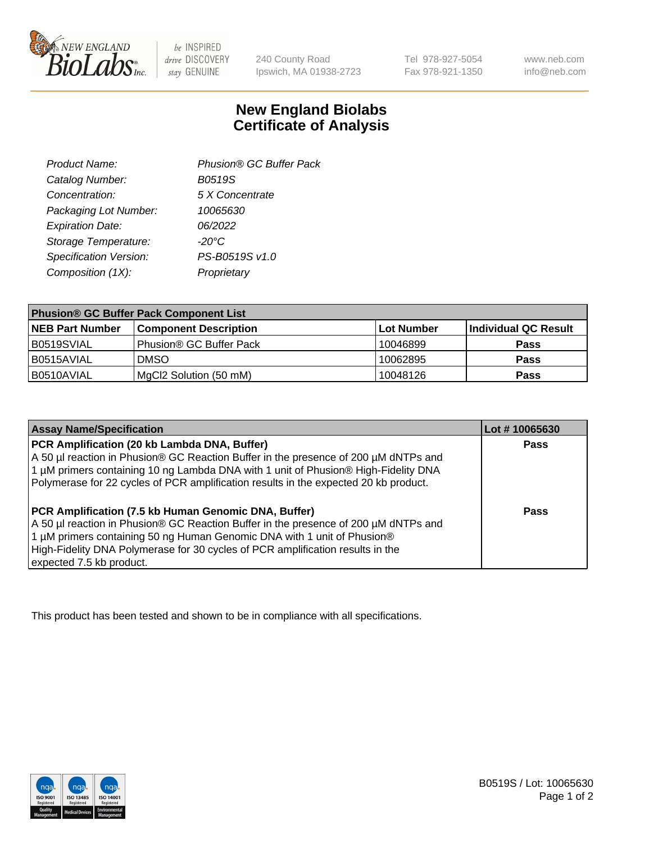

 $be$  INSPIRED drive DISCOVERY stay GENUINE

240 County Road Ipswich, MA 01938-2723 Tel 978-927-5054 Fax 978-921-1350 www.neb.com info@neb.com

## **New England Biolabs Certificate of Analysis**

| Product Name:           | Phusion® GC Buffer Pack |
|-------------------------|-------------------------|
| Catalog Number:         | B0519S                  |
| Concentration:          | 5 X Concentrate         |
| Packaging Lot Number:   | 10065630                |
| <b>Expiration Date:</b> | 06/2022                 |
| Storage Temperature:    | $-20^{\circ}$ C         |
| Specification Version:  | PS-B0519S v1.0          |
| Composition (1X):       | Proprietary             |
|                         |                         |

| <b>Phusion® GC Buffer Pack Component List</b> |                              |            |                      |  |
|-----------------------------------------------|------------------------------|------------|----------------------|--|
| <b>NEB Part Number</b>                        | <b>Component Description</b> | Lot Number | Individual QC Result |  |
| B0519SVIAL                                    | Phusion® GC Buffer Pack      | 10046899   | <b>Pass</b>          |  |
| B0515AVIAL                                    | <b>DMSO</b>                  | 10062895   | <b>Pass</b>          |  |
| B0510AVIAL                                    | MgCl2 Solution (50 mM)       | 10048126   | <b>Pass</b>          |  |

| <b>Assay Name/Specification</b>                                                                                                                                                                                                                                                                                                             | Lot #10065630 |
|---------------------------------------------------------------------------------------------------------------------------------------------------------------------------------------------------------------------------------------------------------------------------------------------------------------------------------------------|---------------|
| PCR Amplification (20 kb Lambda DNA, Buffer)<br>A 50 µl reaction in Phusion® GC Reaction Buffer in the presence of 200 µM dNTPs and<br>1 μM primers containing 10 ng Lambda DNA with 1 unit of Phusion® High-Fidelity DNA<br>Polymerase for 22 cycles of PCR amplification results in the expected 20 kb product.                           | <b>Pass</b>   |
| <b>PCR Amplification (7.5 kb Human Genomic DNA, Buffer)</b><br>A 50 µl reaction in Phusion® GC Reaction Buffer in the presence of 200 µM dNTPs and<br>1 µM primers containing 50 ng Human Genomic DNA with 1 unit of Phusion®<br>High-Fidelity DNA Polymerase for 30 cycles of PCR amplification results in the<br>expected 7.5 kb product. | <b>Pass</b>   |

This product has been tested and shown to be in compliance with all specifications.